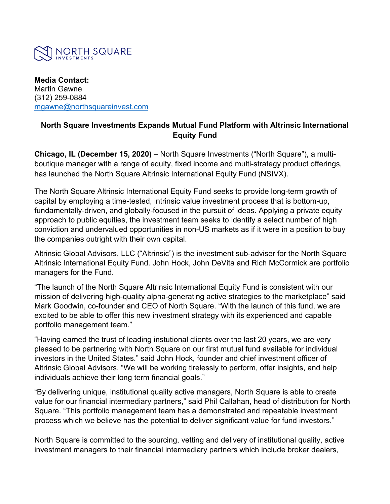

**Media Contact:** Martin Gawne (312) 259-0884 [mgawne@northsquareinvest.com](mailto:mgawne@northsquareinvest.com)

## **North Square Investments Expands Mutual Fund Platform with Altrinsic International Equity Fund**

**Chicago, IL (December 15, 2020)** – North Square Investments ("North Square"), a multiboutique manager with a range of equity, fixed income and multi-strategy product offerings, has launched the North Square Altrinsic International Equity Fund (NSIVX).

The North Square Altrinsic International Equity Fund seeks to provide long-term growth of capital by employing a time-tested, intrinsic value investment process that is bottom-up, fundamentally-driven, and globally-focused in the pursuit of ideas. Applying a private equity approach to public equities, the investment team seeks to identify a select number of high conviction and undervalued opportunities in non-US markets as if it were in a position to buy the companies outright with their own capital.

Altrinsic Global Advisors, LLC ("Altrinsic") is the investment sub-adviser for the North Square Altrinsic International Equity Fund. John Hock, John DeVita and Rich McCormick are portfolio managers for the Fund.

"The launch of the North Square Altrinsic International Equity Fund is consistent with our mission of delivering high-quality alpha-generating active strategies to the marketplace" said Mark Goodwin, co-founder and CEO of North Square. "With the launch of this fund, we are excited to be able to offer this new investment strategy with its experienced and capable portfolio management team."

"Having earned the trust of leading instutional clients over the last 20 years, we are very pleased to be partnering with North Square on our first mutual fund available for individual investors in the United States." said John Hock, founder and chief investment officer of Altrinsic Global Advisors. "We will be working tirelessly to perform, offer insights, and help individuals achieve their long term financial goals."

"By delivering unique, institutional quality active managers, North Square is able to create value for our financial intermediary partners," said Phil Callahan, head of distribution for North Square. "This portfolio management team has a demonstrated and repeatable investment process which we believe has the potential to deliver significant value for fund investors."

North Square is committed to the sourcing, vetting and delivery of institutional quality, active investment managers to their financial intermediary partners which include broker dealers,